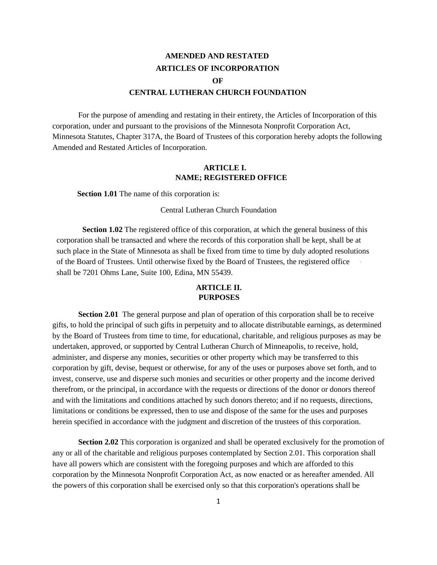# **AMENDED AND RESTATED ARTICLES OF INCORPORATION OF CENTRAL LUTHERAN CHURCH FOUNDATION**

For the purpose of amending and restating in their entirety, the Articles of Incorporation of this corporation, under and pursuant to the provisions of the Minnesota Nonprofit Corporation Act, Minnesota Statutes, Chapter 317A, the Board of Trustees of this corporation hereby adopts the following Amended and Restated Articles of Incorporation.

## **ARTICLE I. NAME; REGISTERED OFFICE**

**Section 1.01** The name of this corporation is:

Central Lutheran Church Foundation

**Section 1.02** The registered office of this corporation, at which the general business of this corporation shall be transacted and where the records of this corporation shall be kept, shall be at such place in the State of Minnesota as shall be fixed from time to time by duly adopted resolutions of the Board of Trustees. Until otherwise fixed by the Board of Trustees, the registered office shall be 7201 Ohms Lane, Suite 100, Edina, MN 55439.

### **ARTICLE II. PURPOSES**

**Section 2.01** The general purpose and plan of operation of this corporation shall be to receive gifts, to hold the principal of such gifts in perpetuity and to allocate distributable earnings, as determined by the Board of Trustees from time to time, for educational, charitable, and religious purposes as may be undertaken, approved, or supported by Central Lutheran Church of Minneapolis, to receive, hold, administer, and disperse any monies, securities or other property which may be transferred to this corporation by gift, devise, bequest or otherwise, for any of the uses or purposes above set forth, and to invest, conserve, use and disperse such monies and securities or other property and the income derived therefrom, or the principal, in accordance with the requests or directions of the donor or donors thereof and with the limitations and conditions attached by such donors thereto; and if no requests, directions, limitations or conditions be expressed, then to use and dispose of the same for the uses and purposes herein specified in accordance with the judgment and discretion of the trustees of this corporation.

**Section 2.02** This corporation is organized and shall be operated exclusively for the promotion of any or all of the charitable and religious purposes contemplated by Section 2.01. This corporation shall have all powers which are consistent with the foregoing purposes and which are afforded to this corporation by the Minnesota Nonprofit Corporation Act, as now enacted or as hereafter amended. All the powers of this corporation shall be exercised only so that this corporation's operations shall be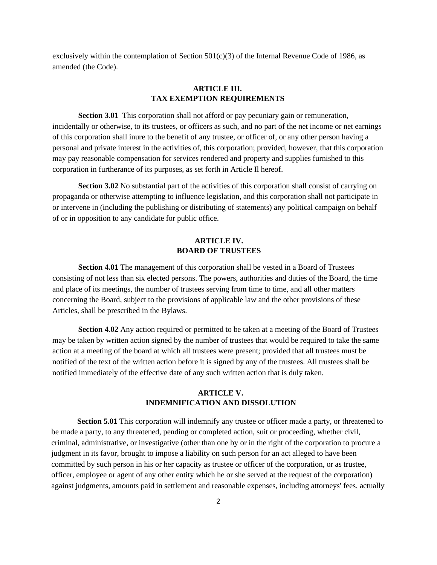exclusively within the contemplation of Section  $501(c)(3)$  of the Internal Revenue Code of 1986, as amended (the Code).

# **ARTICLE III. TAX EXEMPTION REQUIREMENTS**

**Section 3.01** This corporation shall not afford or pay pecuniary gain or remuneration, incidentally or otherwise, to its trustees, or officers as such, and no part of the net income or net earnings of this corporation shall inure to the benefit of any trustee, or officer of, or any other person having a personal and private interest in the activities of, this corporation; provided, however, that this corporation may pay reasonable compensation for services rendered and property and supplies furnished to this corporation in furtherance of its purposes, as set forth in Article Il hereof.

**Section 3.02** No substantial part of the activities of this corporation shall consist of carrying on propaganda or otherwise attempting to influence legislation, and this corporation shall not participate in or intervene in (including the publishing or distributing of statements) any political campaign on behalf of or in opposition to any candidate for public office.

### **ARTICLE IV. BOARD OF TRUSTEES**

**Section 4.01** The management of this corporation shall be vested in a Board of Trustees consisting of not less than six elected persons. The powers, authorities and duties of the Board, the time and place of its meetings, the number of trustees serving from time to time, and all other matters concerning the Board, subject to the provisions of applicable law and the other provisions of these Articles, shall be prescribed in the Bylaws.

**Section 4.02** Any action required or permitted to be taken at a meeting of the Board of Trustees may be taken by written action signed by the number of trustees that would be required to take the same action at a meeting of the board at which all trustees were present; provided that all trustees must be notified of the text of the written action before it is signed by any of the trustees. All trustees shall be notified immediately of the effective date of any such written action that is duly taken.

# **ARTICLE V. INDEMNIFICATION AND DISSOLUTION**

**Section 5.01** This corporation will indemnify any trustee or officer made a party, or threatened to be made a party, to any threatened, pending or completed action, suit or proceeding, whether civil, criminal, administrative, or investigative (other than one by or in the right of the corporation to procure a judgment in its favor, brought to impose a liability on such person for an act alleged to have been committed by such person in his or her capacity as trustee or officer of the corporation, or as trustee, officer, employee or agent of any other entity which he or she served at the request of the corporation) against judgments, amounts paid in settlement and reasonable expenses, including attorneys' fees, actually